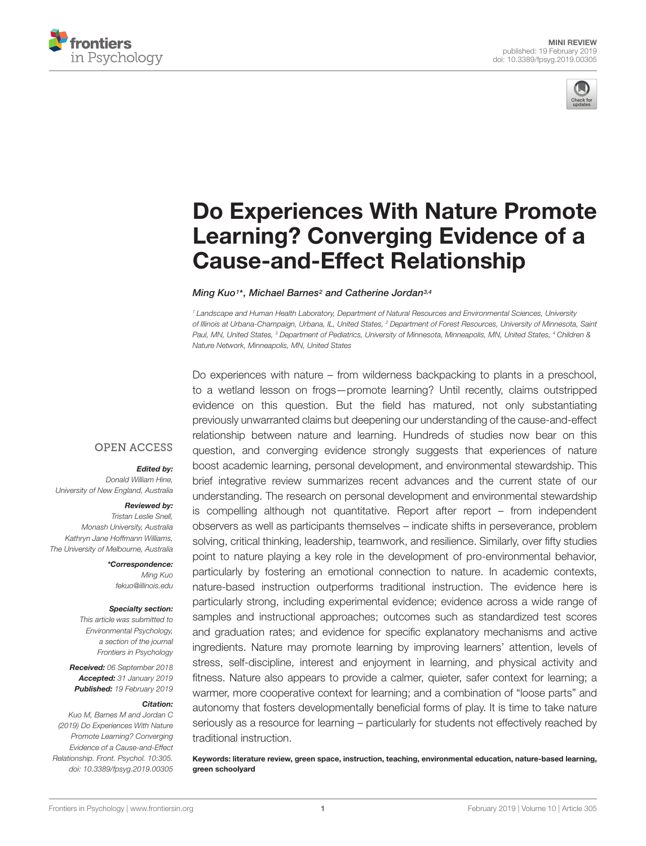



# [Do Experiences With Nature Promote](https://www.frontiersin.org/articles/10.3389/fpsyg.2019.00305/full) Learning? Converging Evidence of a Cause-and-Effect Relationship

#### [Ming Kuo](http://loop.frontiersin.org/people/217876/overview)<sup>1\*</sup>, [Michael Barnes](http://loop.frontiersin.org/people/461866/overview)<sup>2</sup> and [Catherine Jordan](http://loop.frontiersin.org/people/452612/overview)<sup>3,4</sup>

<sup>1</sup> Landscape and Human Health Laboratory, Department of Natural Resources and Environmental Sciences, University of Illinois at Urbana-Champaign, Urbana, IL, United States, <sup>2</sup> Department of Forest Resources, University of Minnesota, Saint Paul, MN, United States, <sup>3</sup> Department of Pediatrics, University of Minnesota, Minneapolis, MN, United States, <sup>4</sup> Children & Nature Network, Minneapolis, MN, United States

Do experiences with nature – from wilderness backpacking to plants in a preschool, to a wetland lesson on frogs—promote learning? Until recently, claims outstripped evidence on this question. But the field has matured, not only substantiating previously unwarranted claims but deepening our understanding of the cause-and-effect relationship between nature and learning. Hundreds of studies now bear on this question, and converging evidence strongly suggests that experiences of nature boost academic learning, personal development, and environmental stewardship. This brief integrative review summarizes recent advances and the current state of our understanding. The research on personal development and environmental stewardship is compelling although not quantitative. Report after report – from independent observers as well as participants themselves – indicate shifts in perseverance, problem solving, critical thinking, leadership, teamwork, and resilience. Similarly, over fifty studies point to nature playing a key role in the development of pro-environmental behavior, particularly by fostering an emotional connection to nature. In academic contexts, nature-based instruction outperforms traditional instruction. The evidence here is particularly strong, including experimental evidence; evidence across a wide range of samples and instructional approaches; outcomes such as standardized test scores and graduation rates; and evidence for specific explanatory mechanisms and active ingredients. Nature may promote learning by improving learners' attention, levels of stress, self-discipline, interest and enjoyment in learning, and physical activity and fitness. Nature also appears to provide a calmer, quieter, safer context for learning; a warmer, more cooperative context for learning; and a combination of "loose parts" and autonomy that fosters developmentally beneficial forms of play. It is time to take nature seriously as a resource for learning – particularly for students not effectively reached by traditional instruction.

Keywords: literature review, green space, instruction, teaching, environmental education, nature-based learning, green schoolyard

### **OPEN ACCESS**

#### Edited by:

Donald William Hine, University of New England, Australia

#### Reviewed by:

Tristan Leslie Snell, Monash University, Australia Kathryn Jane Hoffmann Williams, The University of Melbourne, Australia

> \*Correspondence: Ming Kuo fekuo@illinois.edu

#### Specialty section:

This article was submitted to Environmental Psychology, a section of the journal Frontiers in Psychology

Received: 06 September 2018 Accepted: 31 January 2019 Published: 19 February 2019

#### Citation:

Kuo M, Barnes M and Jordan C (2019) Do Experiences With Nature Promote Learning? Converging Evidence of a Cause-and-Effect Relationship. Front. Psychol. 10:305. doi: [10.3389/fpsyg.2019.00305](https://doi.org/10.3389/fpsyg.2019.00305)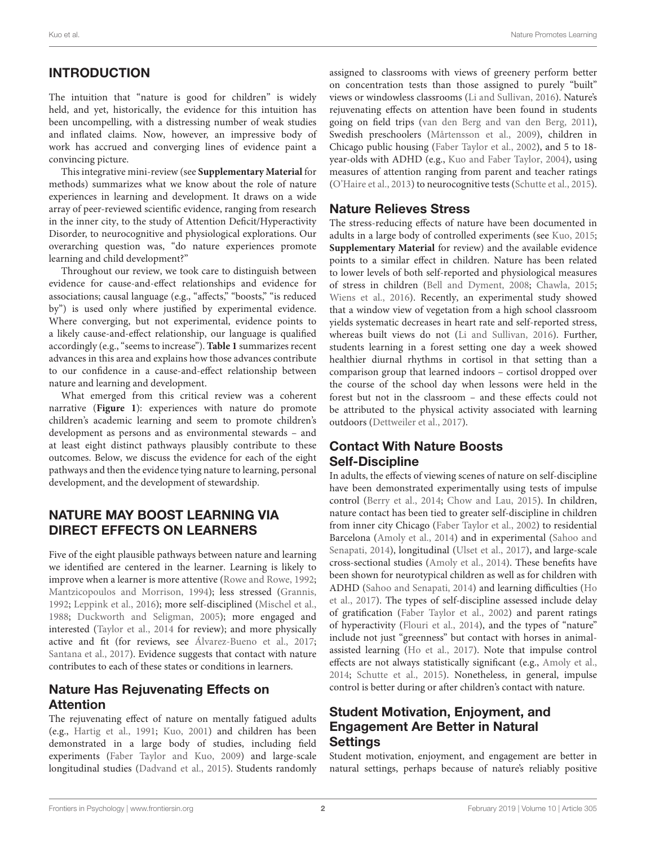# INTRODUCTION

The intuition that "nature is good for children" is widely held, and yet, historically, the evidence for this intuition has been uncompelling, with a distressing number of weak studies and inflated claims. Now, however, an impressive body of work has accrued and converging lines of evidence paint a convincing picture.

This integrative mini-review (see **[Supplementary Material](#page-6-0)** for methods) summarizes what we know about the role of nature experiences in learning and development. It draws on a wide array of peer-reviewed scientific evidence, ranging from research in the inner city, to the study of Attention Deficit/Hyperactivity Disorder, to neurocognitive and physiological explorations. Our overarching question was, "do nature experiences promote learning and child development?"

Throughout our review, we took care to distinguish between evidence for cause-and-effect relationships and evidence for associations; causal language (e.g., "affects," "boosts," "is reduced by") is used only where justified by experimental evidence. Where converging, but not experimental, evidence points to a likely cause-and-effect relationship, our language is qualified accordingly (e.g., "seems to increase"). **[Table 1](#page-2-0)** summarizes recent advances in this area and explains how those advances contribute to our confidence in a cause-and-effect relationship between nature and learning and development.

What emerged from this critical review was a coherent narrative (**[Figure 1](#page-3-0)**): experiences with nature do promote children's academic learning and seem to promote children's development as persons and as environmental stewards – and at least eight distinct pathways plausibly contribute to these outcomes. Below, we discuss the evidence for each of the eight pathways and then the evidence tying nature to learning, personal development, and the development of stewardship.

# NATURE MAY BOOST LEARNING VIA DIRECT EFFECTS ON LEARNERS

Five of the eight plausible pathways between nature and learning we identified are centered in the learner. Learning is likely to improve when a learner is more attentive [\(Rowe and Rowe,](#page-8-0) [1992;](#page-8-0) [Mantzicopoulos and Morrison,](#page-7-0) [1994\)](#page-7-0); less stressed [\(Grannis,](#page-7-1) [1992;](#page-7-1) [Leppink et al.,](#page-7-2) [2016\)](#page-7-2); more self-disciplined [\(Mischel et al.,](#page-7-3) [1988;](#page-7-3) [Duckworth and Seligman,](#page-6-1) [2005\)](#page-6-1); more engaged and interested [\(Taylor et al.,](#page-8-1) [2014](#page-8-1) for review); and more physically active and fit (for reviews, see [Álvarez-Bueno et al.,](#page-6-2) [2017;](#page-6-2) [Santana et al.,](#page-8-2) [2017\)](#page-8-2). Evidence suggests that contact with nature contributes to each of these states or conditions in learners.

# Nature Has Rejuvenating Effects on Attention

The rejuvenating effect of nature on mentally fatigued adults (e.g., [Hartig et al.,](#page-7-4) [1991;](#page-7-4) [Kuo,](#page-7-5) [2001\)](#page-7-5) and children has been demonstrated in a large body of studies, including field experiments [\(Faber Taylor and Kuo,](#page-7-6) [2009\)](#page-7-6) and large-scale longitudinal studies [\(Dadvand et al.,](#page-6-3) [2015\)](#page-6-3). Students randomly assigned to classrooms with views of greenery perform better on concentration tests than those assigned to purely "built" views or windowless classrooms [\(Li and Sullivan,](#page-7-7) [2016\)](#page-7-7). Nature's rejuvenating effects on attention have been found in students going on field trips [\(van den Berg and van den Berg,](#page-8-3) [2011\)](#page-8-3), Swedish preschoolers [\(Mårtensson et al.,](#page-7-8) [2009\)](#page-7-8), children in Chicago public housing [\(Faber Taylor et al.,](#page-7-9) [2002\)](#page-7-9), and 5 to 18 year-olds with ADHD (e.g., [Kuo and Faber Taylor,](#page-7-10) [2004\)](#page-7-10), using measures of attention ranging from parent and teacher ratings [\(O'Haire et al.,](#page-7-11) [2013\)](#page-7-11) to neurocognitive tests [\(Schutte et al.,](#page-8-4) [2015\)](#page-8-4).

#### Nature Relieves Stress

The stress-reducing effects of nature have been documented in adults in a large body of controlled experiments (see [Kuo,](#page-7-12) [2015;](#page-7-12) **[Supplementary Material](#page-6-0)** for review) and the available evidence points to a similar effect in children. Nature has been related to lower levels of both self-reported and physiological measures of stress in children [\(Bell and Dyment,](#page-6-4) [2008;](#page-6-4) [Chawla,](#page-6-5) [2015;](#page-6-5) [Wiens et al.,](#page-8-5) [2016\)](#page-8-5). Recently, an experimental study showed that a window view of vegetation from a high school classroom yields systematic decreases in heart rate and self-reported stress, whereas built views do not [\(Li and Sullivan,](#page-7-7) [2016\)](#page-7-7). Further, students learning in a forest setting one day a week showed healthier diurnal rhythms in cortisol in that setting than a comparison group that learned indoors – cortisol dropped over the course of the school day when lessons were held in the forest but not in the classroom – and these effects could not be attributed to the physical activity associated with learning outdoors [\(Dettweiler et al.,](#page-6-6) [2017\)](#page-6-6).

### Contact With Nature Boosts Self-Discipline

In adults, the effects of viewing scenes of nature on self-discipline have been demonstrated experimentally using tests of impulse control [\(Berry et al.,](#page-6-7) [2014;](#page-6-7) [Chow and Lau,](#page-6-8) [2015\)](#page-6-8). In children, nature contact has been tied to greater self-discipline in children from inner city Chicago [\(Faber Taylor et al.,](#page-7-9) [2002\)](#page-7-9) to residential Barcelona [\(Amoly et al.,](#page-6-9) [2014\)](#page-6-9) and in experimental [\(Sahoo and](#page-8-6) [Senapati,](#page-8-6) [2014\)](#page-8-6), longitudinal [\(Ulset et al.,](#page-8-7) [2017\)](#page-8-7), and large-scale cross-sectional studies [\(Amoly et al.,](#page-6-9) [2014\)](#page-6-9). These benefits have been shown for neurotypical children as well as for children with ADHD [\(Sahoo and Senapati,](#page-8-6) [2014\)](#page-8-6) and learning difficulties [\(Ho](#page-7-13) [et al.,](#page-7-13) [2017\)](#page-7-13). The types of self-discipline assessed include delay of gratification [\(Faber Taylor et al.,](#page-7-9) [2002\)](#page-7-9) and parent ratings of hyperactivity [\(Flouri et al.,](#page-7-14) [2014\)](#page-7-14), and the types of "nature" include not just "greenness" but contact with horses in animalassisted learning [\(Ho et al.,](#page-7-13) [2017\)](#page-7-13). Note that impulse control effects are not always statistically significant (e.g., [Amoly et al.,](#page-6-9) [2014;](#page-6-9) [Schutte et al.,](#page-8-4) [2015\)](#page-8-4). Nonetheless, in general, impulse control is better during or after children's contact with nature.

# Student Motivation, Enjoyment, and Engagement Are Better in Natural **Settings**

Student motivation, enjoyment, and engagement are better in natural settings, perhaps because of nature's reliably positive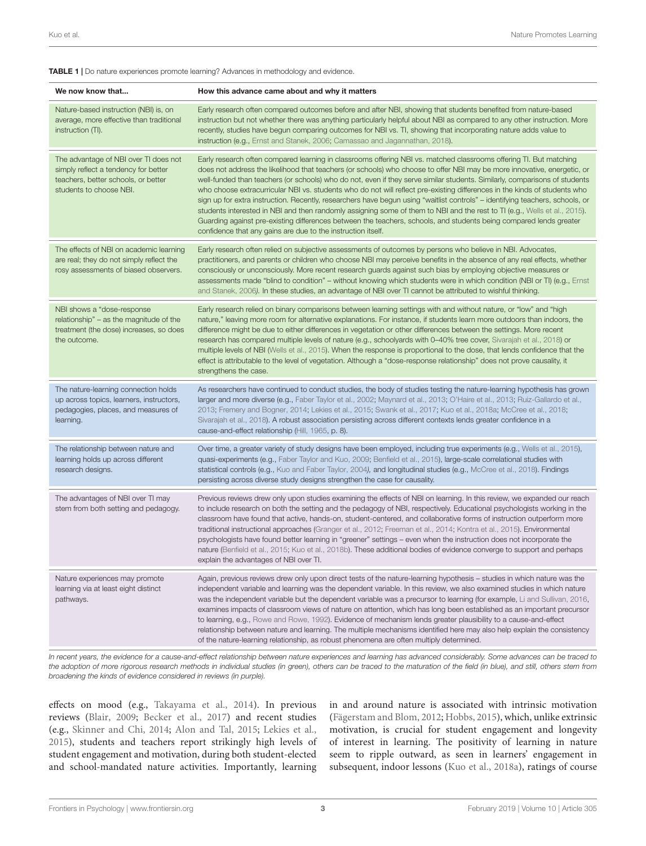#### <span id="page-2-0"></span>TABLE 1 | Do nature experiences promote learning? Advances in methodology and evidence.

| We now know that                                                                                                                                | How this advance came about and why it matters                                                                                                                                                                                                                                                                                                                                                                                                                                                                                                                                                                                                                                                                                                                                                                                                                                                                                                                |
|-------------------------------------------------------------------------------------------------------------------------------------------------|---------------------------------------------------------------------------------------------------------------------------------------------------------------------------------------------------------------------------------------------------------------------------------------------------------------------------------------------------------------------------------------------------------------------------------------------------------------------------------------------------------------------------------------------------------------------------------------------------------------------------------------------------------------------------------------------------------------------------------------------------------------------------------------------------------------------------------------------------------------------------------------------------------------------------------------------------------------|
| Nature-based instruction (NBI) is, on<br>average, more effective than traditional<br>instruction (TI).                                          | Early research often compared outcomes before and after NBI, showing that students benefited from nature-based<br>instruction but not whether there was anything particularly helpful about NBI as compared to any other instruction. More<br>recently, studies have begun comparing outcomes for NBI vs. TI, showing that incorporating nature adds value to<br>instruction (e.g., Ernst and Stanek, 2006; Camassao and Jagannathan, 2018).                                                                                                                                                                                                                                                                                                                                                                                                                                                                                                                  |
| The advantage of NBI over TI does not<br>simply reflect a tendency for better<br>teachers, better schools, or better<br>students to choose NBI. | Early research often compared learning in classrooms offering NBI vs. matched classrooms offering TI. But matching<br>does not address the likelihood that teachers (or schools) who choose to offer NBI may be more innovative, energetic, or<br>well-funded than teachers (or schools) who do not, even if they serve similar students. Similarly, comparisons of students<br>who choose extracurricular NBI vs. students who do not will reflect pre-existing differences in the kinds of students who<br>sign up for extra instruction. Recently, researchers have begun using "waitlist controls" - identifying teachers, schools, or<br>students interested in NBI and then randomly assigning some of them to NBI and the rest to TI (e.g., Wells et al., 2015).<br>Guarding against pre-existing differences between the teachers, schools, and students being compared lends greater<br>confidence that any gains are due to the instruction itself. |
| The effects of NBI on academic learning<br>are real; they do not simply reflect the<br>rosy assessments of biased observers.                    | Early research often relied on subjective assessments of outcomes by persons who believe in NBI. Advocates,<br>practitioners, and parents or children who choose NBI may perceive benefits in the absence of any real effects, whether<br>consciously or unconsciously. More recent research guards against such bias by employing objective measures or<br>assessments made "blind to condition" - without knowing which students were in which condition (NBI or TI) (e.g., Ernst<br>and Stanek, 2006). In these studies, an advantage of NBI over TI cannot be attributed to wishful thinking.                                                                                                                                                                                                                                                                                                                                                             |
| NBI shows a "dose-response<br>relationship" – as the magnitude of the<br>treatment (the dose) increases, so does<br>the outcome.                | Early research relied on binary comparisons between learning settings with and without nature, or "low" and "high<br>nature," leaving more room for alternative explanations. For instance, if students learn more outdoors than indoors, the<br>difference might be due to either differences in vegetation or other differences between the settings. More recent<br>research has compared multiple levels of nature (e.g., schoolyards with 0-40% tree cover, Sivarajah et al., 2018) or<br>multiple levels of NBI (Wells et al., 2015). When the response is proportional to the dose, that lends confidence that the<br>effect is attributable to the level of vegetation. Although a "dose-response relationship" does not prove causality, it<br>strengthens the case.                                                                                                                                                                                 |
| The nature-learning connection holds<br>up across topics, learners, instructors,<br>pedagogies, places, and measures of<br>learning.            | As researchers have continued to conduct studies, the body of studies testing the nature-learning hypothesis has grown<br>larger and more diverse (e.g., Faber Taylor et al., 2002; Maynard et al., 2013; O'Haire et al., 2013; Ruiz-Gallardo et al.,<br>2013; Fremery and Bogner, 2014; Lekies et al., 2015; Swank et al., 2017; Kuo et al., 2018a; McCree et al., 2018;<br>Sivarajah et al., 2018). A robust association persisting across different contexts lends greater confidence in a<br>cause-and-effect relationship (Hill, 1965, p. 8).                                                                                                                                                                                                                                                                                                                                                                                                            |
| The relationship between nature and<br>learning holds up across different<br>research designs.                                                  | Over time, a greater variety of study designs have been employed, including true experiments (e.g., Wells et al., 2015),<br>quasi-experiments (e.g., Faber Taylor and Kuo, 2009; Benfield et al., 2015), large-scale correlational studies with<br>statistical controls (e.g., Kuo and Faber Taylor, 2004), and longitudinal studies (e.g., McCree et al., 2018). Findings<br>persisting across diverse study designs strengthen the case for causality.                                                                                                                                                                                                                                                                                                                                                                                                                                                                                                      |
| The advantages of NBI over TI may<br>stem from both setting and pedagogy.                                                                       | Previous reviews drew only upon studies examining the effects of NBI on learning. In this review, we expanded our reach<br>to include research on both the setting and the pedagogy of NBI, respectively. Educational psychologists working in the<br>classroom have found that active, hands-on, student-centered, and collaborative forms of instruction outperform more<br>traditional instructional approaches (Granger et al., 2012; Freeman et al., 2014; Kontra et al., 2015). Environmental<br>psychologists have found better learning in "greener" settings - even when the instruction does not incorporate the<br>nature (Benfield et al., 2015; Kuo et al., 2018b). These additional bodies of evidence converge to support and perhaps<br>explain the advantages of NBI over TI.                                                                                                                                                                |
| Nature experiences may promote<br>learning via at least eight distinct<br>pathways.                                                             | Again, previous reviews drew only upon direct tests of the nature-learning hypothesis - studies in which nature was the<br>independent variable and learning was the dependent variable. In this review, we also examined studies in which nature<br>was the independent variable but the dependent variable was a precursor to learning (for example, Li and Sullivan, 2016,<br>examines impacts of classroom views of nature on attention, which has long been established as an important precursor<br>to learning, e.g., Rowe and Rowe, 1992). Evidence of mechanism lends greater plausibility to a cause-and-effect<br>relationship between nature and learning. The multiple mechanisms identified here may also help explain the consistency<br>of the nature-learning relationship, as robust phenomena are often multiply determined.                                                                                                               |

In recent years, the evidence for a cause-and-effect relationship between nature experiences and learning has advanced considerably. Some advances can be traced to the adoption of more rigorous research methods in individual studies (in green), others can be traced to the maturation of the field (in blue), and still, others stem from broadening the kinds of evidence considered in reviews (in purple).

effects on mood (e.g., [Takayama et al.,](#page-8-12) [2014\)](#page-8-12). In previous reviews [\(Blair,](#page-6-13) [2009;](#page-6-13) [Becker et al.,](#page-6-14) [2017\)](#page-6-14) and recent studies (e.g., [Skinner and Chi,](#page-8-13) [2014;](#page-8-13) [Alon and Tal,](#page-6-15) [2015;](#page-6-15) [Lekies et al.,](#page-7-17) [2015\)](#page-7-17), students and teachers report strikingly high levels of student engagement and motivation, during both student-elected and school-mandated nature activities. Importantly, learning in and around nature is associated with intrinsic motivation [\(Fägerstam and Blom,](#page-7-25) [2012;](#page-7-25) [Hobbs,](#page-7-26) [2015\)](#page-7-26), which, unlike extrinsic motivation, is crucial for student engagement and longevity of interest in learning. The positivity of learning in nature seem to ripple outward, as seen in learners' engagement in subsequent, indoor lessons [\(Kuo et al.,](#page-7-18) [2018a\)](#page-7-18), ratings of course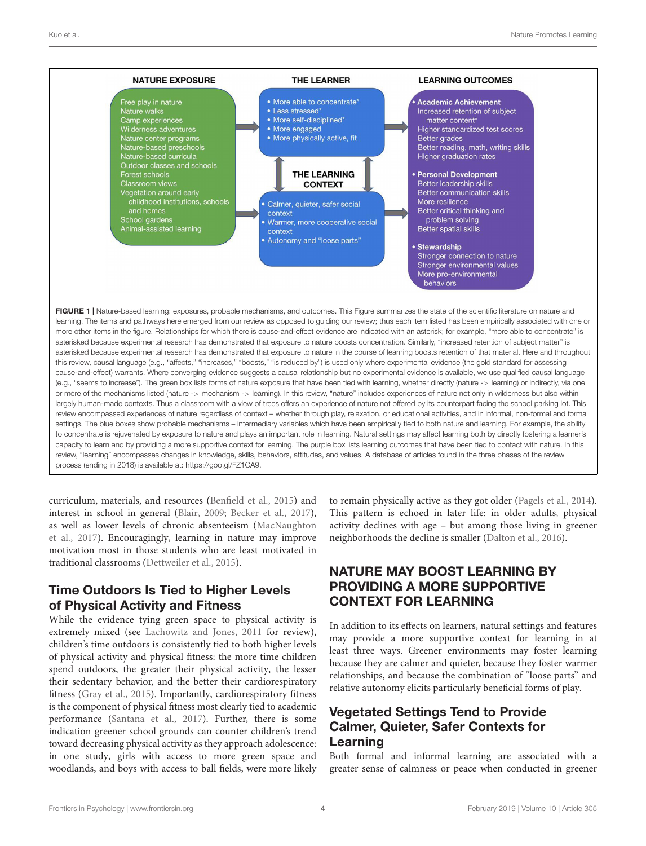

<span id="page-3-0"></span>curriculum, materials, and resources [\(Benfield et al.,](#page-6-12) [2015\)](#page-6-12) and interest in school in general [\(Blair,](#page-6-13) [2009;](#page-6-13) [Becker et al.,](#page-6-14) [2017\)](#page-6-14), as well as lower levels of chronic absenteeism [\(MacNaughton](#page-7-27) [et al.,](#page-7-27) [2017\)](#page-7-27). Encouragingly, learning in nature may improve motivation most in those students who are least motivated in traditional classrooms [\(Dettweiler et al.,](#page-6-16) [2015\)](#page-6-16).

# Time Outdoors Is Tied to Higher Levels of Physical Activity and Fitness

While the evidence tying green space to physical activity is extremely mixed (see [Lachowitz and Jones,](#page-7-28) [2011](#page-7-28) for review), children's time outdoors is consistently tied to both higher levels of physical activity and physical fitness: the more time children spend outdoors, the greater their physical activity, the lesser their sedentary behavior, and the better their cardiorespiratory fitness [\(Gray et al.,](#page-7-29) [2015\)](#page-7-29). Importantly, cardiorespiratory fitness is the component of physical fitness most clearly tied to academic performance [\(Santana et al.,](#page-8-2) [2017\)](#page-8-2). Further, there is some indication greener school grounds can counter children's trend toward decreasing physical activity as they approach adolescence: in one study, girls with access to more green space and woodlands, and boys with access to ball fields, were more likely to remain physically active as they got older [\(Pagels et al.,](#page-7-30) [2014\)](#page-7-30). This pattern is echoed in later life: in older adults, physical activity declines with age – but among those living in greener neighborhoods the decline is smaller [\(Dalton et al.,](#page-6-17) [2016\)](#page-6-17).

# NATURE MAY BOOST LEARNING BY PROVIDING A MORE SUPPORTIVE CONTEXT FOR LEARNING

In addition to its effects on learners, natural settings and features may provide a more supportive context for learning in at least three ways. Greener environments may foster learning because they are calmer and quieter, because they foster warmer relationships, and because the combination of "loose parts" and relative autonomy elicits particularly beneficial forms of play.

# Vegetated Settings Tend to Provide Calmer, Quieter, Safer Contexts for Learning

Both formal and informal learning are associated with a greater sense of calmness or peace when conducted in greener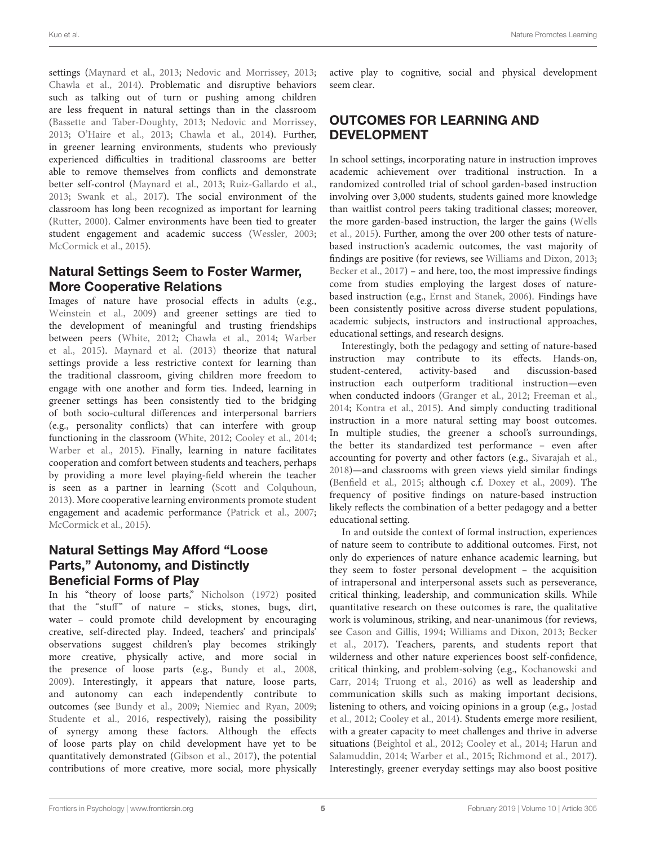settings [\(Maynard et al.,](#page-7-15) [2013;](#page-7-15) [Nedovic and Morrissey,](#page-7-31) [2013;](#page-7-31) [Chawla et al.,](#page-6-18) [2014\)](#page-6-18). Problematic and disruptive behaviors such as talking out of turn or pushing among children are less frequent in natural settings than in the classroom [\(Bassette and Taber-Doughty,](#page-6-19) [2013;](#page-6-19) [Nedovic and Morrissey,](#page-7-31) [2013;](#page-7-31) [O'Haire et al.,](#page-7-11) [2013;](#page-7-11) [Chawla et al.,](#page-6-18) [2014\)](#page-6-18). Further, in greener learning environments, students who previously experienced difficulties in traditional classrooms are better able to remove themselves from conflicts and demonstrate better self-control [\(Maynard et al.,](#page-7-15) [2013;](#page-7-15) [Ruiz-Gallardo et al.,](#page-8-10) [2013;](#page-8-10) [Swank et al.,](#page-8-11) [2017\)](#page-8-11). The social environment of the classroom has long been recognized as important for learning [\(Rutter,](#page-8-14) [2000\)](#page-8-14). Calmer environments have been tied to greater student engagement and academic success [\(Wessler,](#page-8-15) [2003;](#page-8-15) [McCormick et al.,](#page-7-32) [2015\)](#page-7-32).

# Natural Settings Seem to Foster Warmer, More Cooperative Relations

Images of nature have prosocial effects in adults (e.g., [Weinstein et al.,](#page-8-16) [2009\)](#page-8-16) and greener settings are tied to the development of meaningful and trusting friendships between peers [\(White,](#page-8-17) [2012;](#page-8-17) [Chawla et al.,](#page-6-18) [2014;](#page-6-18) [Warber](#page-8-18) [et al.,](#page-8-18) [2015\)](#page-8-18). [Maynard et al.](#page-7-15) [\(2013\)](#page-7-15) theorize that natural settings provide a less restrictive context for learning than the traditional classroom, giving children more freedom to engage with one another and form ties. Indeed, learning in greener settings has been consistently tied to the bridging of both socio-cultural differences and interpersonal barriers (e.g., personality conflicts) that can interfere with group functioning in the classroom [\(White,](#page-8-17) [2012;](#page-8-17) [Cooley et al.,](#page-6-20) [2014;](#page-6-20) [Warber et al.,](#page-8-18) [2015\)](#page-8-18). Finally, learning in nature facilitates cooperation and comfort between students and teachers, perhaps by providing a more level playing-field wherein the teacher is seen as a partner in learning [\(Scott and Colquhoun,](#page-8-19) [2013\)](#page-8-19). More cooperative learning environments promote student engagement and academic performance [\(Patrick et al.,](#page-8-20) [2007;](#page-8-20) [McCormick et al.,](#page-7-32) [2015\)](#page-7-32).

# Natural Settings May Afford "Loose Parts," Autonomy, and Distinctly Beneficial Forms of Play

In his "theory of loose parts," [Nicholson](#page-7-33) [\(1972\)](#page-7-33) posited that the "stuff" of nature - sticks, stones, bugs, dirt, water – could promote child development by encouraging creative, self-directed play. Indeed, teachers' and principals' observations suggest children's play becomes strikingly more creative, physically active, and more social in the presence of loose parts (e.g., [Bundy et al.,](#page-6-21) [2008,](#page-6-21) [2009\)](#page-6-22). Interestingly, it appears that nature, loose parts, and autonomy can each independently contribute to outcomes (see [Bundy et al.,](#page-6-22) [2009;](#page-6-22) [Niemiec and Ryan,](#page-7-34) [2009;](#page-7-34) [Studente et al.,](#page-8-21) [2016,](#page-8-21) respectively), raising the possibility of synergy among these factors. Although the effects of loose parts play on child development have yet to be quantitatively demonstrated [\(Gibson et al.,](#page-7-35) [2017\)](#page-7-35), the potential contributions of more creative, more social, more physically active play to cognitive, social and physical development seem clear.

# OUTCOMES FOR LEARNING AND DEVELOPMENT

In school settings, incorporating nature in instruction improves academic achievement over traditional instruction. In a randomized controlled trial of school garden-based instruction involving over 3,000 students, students gained more knowledge than waitlist control peers taking traditional classes; moreover, the more garden-based instruction, the larger the gains [\(Wells](#page-8-8) [et al.,](#page-8-8) [2015\)](#page-8-8). Further, among the over 200 other tests of naturebased instruction's academic outcomes, the vast majority of findings are positive (for reviews, see [Williams and Dixon,](#page-8-22) [2013;](#page-8-22) [Becker et al.,](#page-6-14) [2017\)](#page-6-14) – and here, too, the most impressive findings come from studies employing the largest doses of naturebased instruction (e.g., [Ernst and Stanek,](#page-6-10) [2006\)](#page-6-10). Findings have been consistently positive across diverse student populations, academic subjects, instructors and instructional approaches, educational settings, and research designs.

Interestingly, both the pedagogy and setting of nature-based instruction may contribute to its effects. Hands-on, student-centered, activity-based and discussion-based instruction each outperform traditional instruction—even when conducted indoors [\(Granger et al.,](#page-7-21) [2012;](#page-7-21) [Freeman et al.,](#page-7-22) [2014;](#page-7-22) [Kontra et al.,](#page-7-23) [2015\)](#page-7-23). And simply conducting traditional instruction in a more natural setting may boost outcomes. In multiple studies, the greener a school's surroundings, the better its standardized test performance – even after accounting for poverty and other factors (e.g., [Sivarajah et al.,](#page-8-9) [2018\)](#page-8-9)—and classrooms with green views yield similar findings [\(Benfield et al.,](#page-6-12) [2015;](#page-6-12) although c.f. [Doxey et al.,](#page-6-23) [2009\)](#page-6-23). The frequency of positive findings on nature-based instruction likely reflects the combination of a better pedagogy and a better educational setting.

In and outside the context of formal instruction, experiences of nature seem to contribute to additional outcomes. First, not only do experiences of nature enhance academic learning, but they seem to foster personal development – the acquisition of intrapersonal and interpersonal assets such as perseverance, critical thinking, leadership, and communication skills. While quantitative research on these outcomes is rare, the qualitative work is voluminous, striking, and near-unanimous (for reviews, see [Cason and Gillis,](#page-6-24) [1994;](#page-6-24) [Williams and Dixon,](#page-8-22) [2013;](#page-8-22) [Becker](#page-6-14) [et al.,](#page-6-14) [2017\)](#page-6-14). Teachers, parents, and students report that wilderness and other nature experiences boost self-confidence, critical thinking, and problem-solving (e.g., [Kochanowski and](#page-7-36) [Carr,](#page-7-36) [2014;](#page-7-36) [Truong et al.,](#page-8-23) [2016\)](#page-8-23) as well as leadership and communication skills such as making important decisions, listening to others, and voicing opinions in a group (e.g., [Jostad](#page-7-37) [et al.,](#page-7-37) [2012;](#page-7-37) [Cooley et al.,](#page-6-20) [2014\)](#page-6-20). Students emerge more resilient, with a greater capacity to meet challenges and thrive in adverse situations [\(Beightol et al.,](#page-6-25) [2012;](#page-6-25) [Cooley et al.,](#page-6-20) [2014;](#page-6-20) [Harun and](#page-7-38) [Salamuddin,](#page-7-38) [2014;](#page-7-38) [Warber et al.,](#page-8-18) [2015;](#page-8-18) [Richmond et al.,](#page-8-24) [2017\)](#page-8-24). Interestingly, greener everyday settings may also boost positive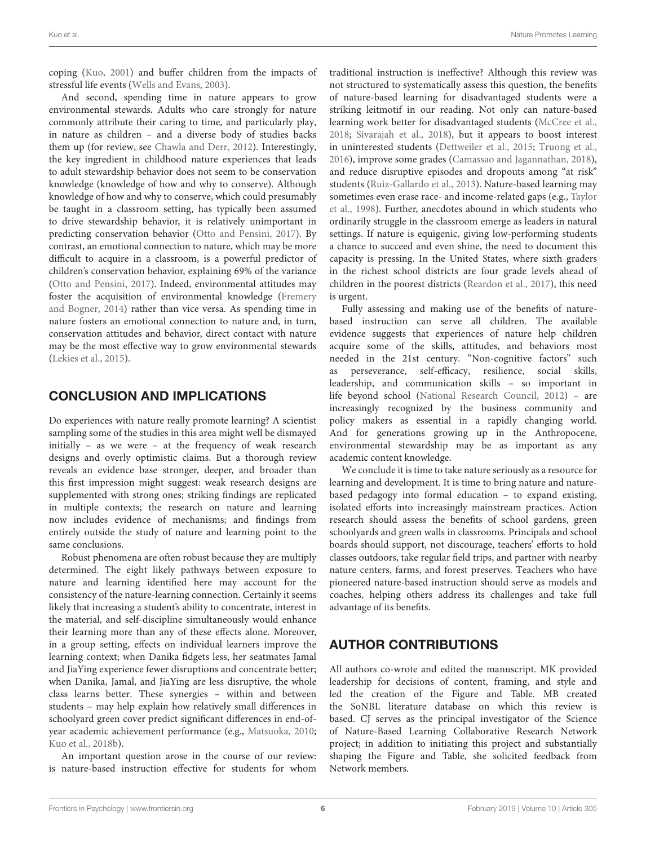coping [\(Kuo,](#page-7-5) [2001\)](#page-7-5) and buffer children from the impacts of stressful life events [\(Wells and Evans,](#page-8-25) [2003\)](#page-8-25).

And second, spending time in nature appears to grow environmental stewards. Adults who care strongly for nature commonly attribute their caring to time, and particularly play, in nature as children – and a diverse body of studies backs them up (for review, see [Chawla and Derr,](#page-6-26) [2012\)](#page-6-26). Interestingly, the key ingredient in childhood nature experiences that leads to adult stewardship behavior does not seem to be conservation knowledge (knowledge of how and why to conserve). Although knowledge of how and why to conserve, which could presumably be taught in a classroom setting, has typically been assumed to drive stewardship behavior, it is relatively unimportant in predicting conservation behavior [\(Otto and Pensini,](#page-7-39) [2017\)](#page-7-39). By contrast, an emotional connection to nature, which may be more difficult to acquire in a classroom, is a powerful predictor of children's conservation behavior, explaining 69% of the variance [\(Otto and Pensini,](#page-7-39) [2017\)](#page-7-39). Indeed, environmental attitudes may foster the acquisition of environmental knowledge [\(Fremery](#page-7-16) [and Bogner,](#page-7-16) [2014\)](#page-7-16) rather than vice versa. As spending time in nature fosters an emotional connection to nature and, in turn, conservation attitudes and behavior, direct contact with nature may be the most effective way to grow environmental stewards [\(Lekies et al.,](#page-7-17) [2015\)](#page-7-17).

# CONCLUSION AND IMPLICATIONS

Do experiences with nature really promote learning? A scientist sampling some of the studies in this area might well be dismayed initially – as we were – at the frequency of weak research designs and overly optimistic claims. But a thorough review reveals an evidence base stronger, deeper, and broader than this first impression might suggest: weak research designs are supplemented with strong ones; striking findings are replicated in multiple contexts; the research on nature and learning now includes evidence of mechanisms; and findings from entirely outside the study of nature and learning point to the same conclusions.

Robust phenomena are often robust because they are multiply determined. The eight likely pathways between exposure to nature and learning identified here may account for the consistency of the nature-learning connection. Certainly it seems likely that increasing a student's ability to concentrate, interest in the material, and self-discipline simultaneously would enhance their learning more than any of these effects alone. Moreover, in a group setting, effects on individual learners improve the learning context; when Danika fidgets less, her seatmates Jamal and JiaYing experience fewer disruptions and concentrate better; when Danika, Jamal, and JiaYing are less disruptive, the whole class learns better. These synergies – within and between students – may help explain how relatively small differences in schoolyard green cover predict significant differences in end-ofyear academic achievement performance (e.g., [Matsuoka,](#page-7-40) [2010;](#page-7-40) [Kuo et al.,](#page-7-24) [2018b\)](#page-7-24).

An important question arose in the course of our review: is nature-based instruction effective for students for whom traditional instruction is ineffective? Although this review was not structured to systematically assess this question, the benefits of nature-based learning for disadvantaged students were a striking leitmotif in our reading. Not only can nature-based learning work better for disadvantaged students [\(McCree et al.,](#page-7-19) [2018;](#page-7-19) [Sivarajah et al.,](#page-8-9) [2018\)](#page-8-9), but it appears to boost interest in uninterested students [\(Dettweiler et al.,](#page-6-16) [2015;](#page-6-16) [Truong et al.,](#page-8-23) [2016\)](#page-8-23), improve some grades [\(Camassao and Jagannathan,](#page-6-11) [2018\)](#page-6-11), and reduce disruptive episodes and dropouts among "at risk" students [\(Ruiz-Gallardo et al.,](#page-8-10) [2013\)](#page-8-10). Nature-based learning may sometimes even erase race- and income-related gaps (e.g., [Taylor](#page-8-26) [et al.,](#page-8-26) [1998\)](#page-8-26). Further, anecdotes abound in which students who ordinarily struggle in the classroom emerge as leaders in natural settings. If nature is equigenic, giving low-performing students a chance to succeed and even shine, the need to document this capacity is pressing. In the United States, where sixth graders in the richest school districts are four grade levels ahead of children in the poorest districts [\(Reardon et al.,](#page-8-27) [2017\)](#page-8-27), this need is urgent.

Fully assessing and making use of the benefits of naturebased instruction can serve all children. The available evidence suggests that experiences of nature help children acquire some of the skills, attitudes, and behaviors most needed in the 21st century. "Non-cognitive factors" such as perseverance, self-efficacy, resilience, social skills, leadership, and communication skills – so important in life beyond school [\(National Research Council,](#page-7-41) [2012\)](#page-7-41) – are increasingly recognized by the business community and policy makers as essential in a rapidly changing world. And for generations growing up in the Anthropocene, environmental stewardship may be as important as any academic content knowledge.

We conclude it is time to take nature seriously as a resource for learning and development. It is time to bring nature and naturebased pedagogy into formal education – to expand existing, isolated efforts into increasingly mainstream practices. Action research should assess the benefits of school gardens, green schoolyards and green walls in classrooms. Principals and school boards should support, not discourage, teachers' efforts to hold classes outdoors, take regular field trips, and partner with nearby nature centers, farms, and forest preserves. Teachers who have pioneered nature-based instruction should serve as models and coaches, helping others address its challenges and take full advantage of its benefits.

# AUTHOR CONTRIBUTIONS

All authors co-wrote and edited the manuscript. MK provided leadership for decisions of content, framing, and style and led the creation of the Figure and Table. MB created the SoNBL literature database on which this review is based. CJ serves as the principal investigator of the Science of Nature-Based Learning Collaborative Research Network project; in addition to initiating this project and substantially shaping the Figure and Table, she solicited feedback from Network members.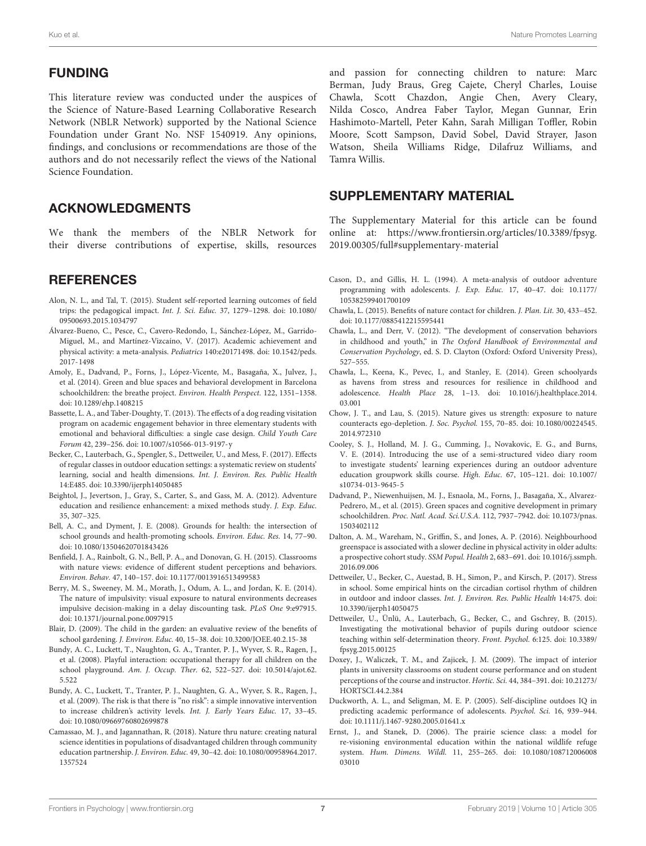### FUNDING

This literature review was conducted under the auspices of the Science of Nature-Based Learning Collaborative Research Network (NBLR Network) supported by the National Science Foundation under Grant No. NSF 1540919. Any opinions, findings, and conclusions or recommendations are those of the authors and do not necessarily reflect the views of the National Science Foundation.

# ACKNOWLEDGMENTS

We thank the members of the NBLR Network for their diverse contributions of expertise, skills, resources

### **REFERENCES**

- <span id="page-6-15"></span>Alon, N. L., and Tal, T. (2015). Student self-reported learning outcomes of field trips: the pedagogical impact. Int. J. Sci. Educ. 37, 1279–1298. [doi: 10.1080/](https://doi.org/10.1080/09500693.2015.1034797) [09500693.2015.1034797](https://doi.org/10.1080/09500693.2015.1034797)
- <span id="page-6-2"></span>Álvarez-Bueno, C., Pesce, C., Cavero-Redondo, I., Sánchez-López, M., Garrido-Miguel, M., and Martínez-Vizcaíno, V. (2017). Academic achievement and physical activity: a meta-analysis. Pediatrics 140:e20171498. [doi: 10.1542/peds.](https://doi.org/10.1542/peds.2017-1498) [2017-1498](https://doi.org/10.1542/peds.2017-1498)
- <span id="page-6-9"></span>Amoly, E., Dadvand, P., Forns, J., López-Vicente, M., Basagaña, X., Julvez, J., et al. (2014). Green and blue spaces and behavioral development in Barcelona schoolchildren: the breathe project. Environ. Health Perspect. 122, 1351–1358. [doi: 10.1289/ehp.1408215](https://doi.org/10.1289/ehp.1408215)
- <span id="page-6-19"></span>Bassette, L. A., and Taber-Doughty, T. (2013). The effects of a dog reading visitation program on academic engagement behavior in three elementary students with emotional and behavioral difficulties: a single case design. Child Youth Care Forum 42, 239–256. [doi: 10.1007/s10566-013-9197-y](https://doi.org/10.1007/s10566-013-9197-y)
- <span id="page-6-14"></span>Becker, C., Lauterbach, G., Spengler, S., Dettweiler, U., and Mess, F. (2017). Effects of regular classes in outdoor education settings: a systematic review on students' learning, social and health dimensions. Int. J. Environ. Res. Public Health 14:E485. [doi: 10.3390/ijerph14050485](https://doi.org/10.3390/ijerph14050485)
- <span id="page-6-25"></span>Beightol, J., Jevertson, J., Gray, S., Carter, S., and Gass, M. A. (2012). Adventure education and resilience enhancement: a mixed methods study. J. Exp. Educ. 35, 307–325.
- <span id="page-6-4"></span>Bell, A. C., and Dyment, J. E. (2008). Grounds for health: the intersection of school grounds and health-promoting schools. Environ. Educ. Res. 14, 77–90. [doi: 10.1080/13504620701843426](https://doi.org/10.1080/13504620701843426)
- <span id="page-6-12"></span>Benfield, J. A., Rainbolt, G. N., Bell, P. A., and Donovan, G. H. (2015). Classrooms with nature views: evidence of different student perceptions and behaviors. Environ. Behav. 47, 140–157. [doi: 10.1177/0013916513499583](https://doi.org/10.1177/0013916513499583)
- <span id="page-6-7"></span>Berry, M. S., Sweeney, M. M., Morath, J., Odum, A. L., and Jordan, K. E. (2014). The nature of impulsivity: visual exposure to natural environments decreases impulsive decision-making in a delay discounting task. PLoS One 9:e97915. [doi: 10.1371/journal.pone.0097915](https://doi.org/10.1371/journal.pone.0097915)
- <span id="page-6-13"></span>Blair, D. (2009). The child in the garden: an evaluative review of the benefits of school gardening. J. Environ. Educ. 40, 15–38. [doi: 10.3200/JOEE.40.2.15-38](https://doi.org/10.3200/JOEE.40.2.15-38)
- <span id="page-6-21"></span>Bundy, A. C., Luckett, T., Naughton, G. A., Tranter, P. J., Wyver, S. R., Ragen, J., et al. (2008). Playful interaction: occupational therapy for all children on the school playground. Am. J. Occup. Ther. 62, 522–527. [doi: 10.5014/ajot.62.](https://doi.org/10.5014/ajot.62.5.522) [5.522](https://doi.org/10.5014/ajot.62.5.522)
- <span id="page-6-22"></span>Bundy, A. C., Luckett, T., Tranter, P. J., Naughten, G. A., Wyver, S. R., Ragen, J., et al. (2009). The risk is that there is "no risk": a simple innovative intervention to increase children's activity levels. Int. J. Early Years Educ. 17, 33–45. [doi: 10.1080/09669760802699878](https://doi.org/10.1080/09669760802699878)
- <span id="page-6-11"></span>Camassao, M. J., and Jagannathan, R. (2018). Nature thru nature: creating natural science identities in populations of disadvantaged children through community education partnership. J. Environ. Educ. 49, 30–42. [doi: 10.1080/00958964.2017.](https://doi.org/10.1080/00958964.2017.1357524) [1357524](https://doi.org/10.1080/00958964.2017.1357524)

and passion for connecting children to nature: Marc Berman, Judy Braus, Greg Cajete, Cheryl Charles, Louise Chawla, Scott Chazdon, Angie Chen, Avery Cleary, Nilda Cosco, Andrea Faber Taylor, Megan Gunnar, Erin Hashimoto-Martell, Peter Kahn, Sarah Milligan Toffler, Robin Moore, Scott Sampson, David Sobel, David Strayer, Jason Watson, Sheila Williams Ridge, Dilafruz Williams, and Tamra Willis.

#### <span id="page-6-0"></span>SUPPLEMENTARY MATERIAL

The Supplementary Material for this article can be found online at: [https://www.frontiersin.org/articles/10.3389/fpsyg.](https://www.frontiersin.org/articles/10.3389/fpsyg.2019.00305/full#supplementary-material) [2019.00305/full#supplementary-material](https://www.frontiersin.org/articles/10.3389/fpsyg.2019.00305/full#supplementary-material)

- <span id="page-6-24"></span>Cason, D., and Gillis, H. L. (1994). A meta-analysis of outdoor adventure programming with adolescents. J. Exp. Educ. 17, 40–47. [doi: 10.1177/](https://doi.org/10.1177/105382599401700109) [105382599401700109](https://doi.org/10.1177/105382599401700109)
- <span id="page-6-5"></span>Chawla, L. (2015). Benefits of nature contact for children. J. Plan. Lit. 30, 433–452. [doi: 10.1177/0885412215595441](https://doi.org/10.1177/0885412215595441)
- <span id="page-6-26"></span>Chawla, L., and Derr, V. (2012). "The development of conservation behaviors in childhood and youth," in The Oxford Handbook of Environmental and Conservation Psychology, ed. S. D. Clayton (Oxford: Oxford University Press), 527–555.
- <span id="page-6-18"></span>Chawla, L., Keena, K., Pevec, I., and Stanley, E. (2014). Green schoolyards as havens from stress and resources for resilience in childhood and adolescence. Health Place 28, 1–13. [doi: 10.1016/j.healthplace.2014.](https://doi.org/10.1016/j.healthplace.2014.03.001) [03.001](https://doi.org/10.1016/j.healthplace.2014.03.001)
- <span id="page-6-8"></span>Chow, J. T., and Lau, S. (2015). Nature gives us strength: exposure to nature counteracts ego-depletion. J. Soc. Psychol. 155, 70–85. [doi: 10.1080/00224545.](https://doi.org/10.1080/00224545.2014.972310) [2014.972310](https://doi.org/10.1080/00224545.2014.972310)
- <span id="page-6-20"></span>Cooley, S. J., Holland, M. J. G., Cumming, J., Novakovic, E. G., and Burns, V. E. (2014). Introducing the use of a semi-structured video diary room to investigate students' learning experiences during an outdoor adventure education groupwork skills course. High. Educ. 67, 105–121. [doi: 10.1007/](https://doi.org/10.1007/s10734-013-9645-5) [s10734-013-9645-5](https://doi.org/10.1007/s10734-013-9645-5)
- <span id="page-6-3"></span>Dadvand, P., Niewenhuijsen, M. J., Esnaola, M., Forns, J., Basagaña, X., Alvarez-Pedrero, M., et al. (2015). Green spaces and cognitive development in primary schoolchildren. Proc. Natl. Acad. Sci.U.S.A. 112, 7937–7942. [doi: 10.1073/pnas.](https://doi.org/10.1073/pnas.1503402112) [1503402112](https://doi.org/10.1073/pnas.1503402112)
- <span id="page-6-17"></span>Dalton, A. M., Wareham, N., Griffin, S., and Jones, A. P. (2016). Neighbourhood greenspace is associated with a slower decline in physical activity in older adults: a prospective cohort study. SSM Popul. Health 2, 683–691. [doi: 10.1016/j.ssmph.](https://doi.org/10.1016/j.ssmph.2016.09.006) [2016.09.006](https://doi.org/10.1016/j.ssmph.2016.09.006)
- <span id="page-6-6"></span>Dettweiler, U., Becker, C., Auestad, B. H., Simon, P., and Kirsch, P. (2017). Stress in school. Some empirical hints on the circadian cortisol rhythm of children in outdoor and indoor classes. Int. J. Environ. Res. Public Health 14:475. [doi:](https://doi.org/10.3390/ijerph14050475) [10.3390/ijerph14050475](https://doi.org/10.3390/ijerph14050475)
- <span id="page-6-16"></span>Dettweiler, U., Ünlü, A., Lauterbach, G., Becker, C., and Gschrey, B. (2015). Investigating the motivational behavior of pupils during outdoor science teaching within self-determination theory. Front. Psychol. 6:125. [doi: 10.3389/](https://doi.org/10.3389/fpsyg.2015.00125) [fpsyg.2015.00125](https://doi.org/10.3389/fpsyg.2015.00125)
- <span id="page-6-23"></span>Doxey, J., Waliczek, T. M., and Zajicek, J. M. (2009). The impact of interior plants in university classrooms on student course performance and on student perceptions of the course and instructor. Hortic. Sci. 44, 384–391. [doi: 10.21273/](https://doi.org/10.21273/HORTSCI.44.2.384) [HORTSCI.44.2.384](https://doi.org/10.21273/HORTSCI.44.2.384)
- <span id="page-6-1"></span>Duckworth, A. L., and Seligman, M. E. P. (2005). Self-discipline outdoes IQ in predicting academic performance of adolescents. Psychol. Sci. 16, 939–944. [doi: 10.1111/j.1467-9280.2005.01641.x](https://doi.org/10.1111/j.1467-9280.2005.01641.x)
- <span id="page-6-10"></span>Ernst, J., and Stanek, D. (2006). The prairie science class: a model for re-visioning environmental education within the national wildlife refuge system. Hum. Dimens. Wildl. 11, 255–265. [doi: 10.1080/108712006008](https://doi.org/10.1080/10871200600803010) [03010](https://doi.org/10.1080/10871200600803010)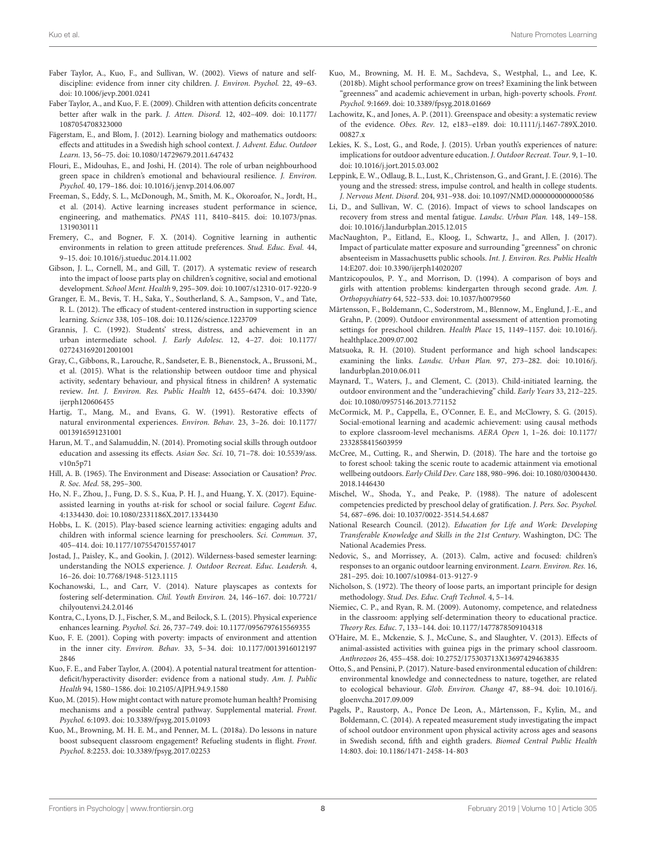- <span id="page-7-9"></span>Faber Taylor, A., Kuo, F., and Sullivan, W. (2002). Views of nature and selfdiscipline: evidence from inner city children. J. Environ. Psychol. 22, 49–63. [doi: 10.1006/jevp.2001.0241](https://doi.org/10.1006/jevp.2001.0241)
- <span id="page-7-6"></span>Faber Taylor, A., and Kuo, F. E. (2009). Children with attention deficits concentrate better after walk in the park. J. Atten. Disord. 12, 402–409. [doi: 10.1177/](https://doi.org/10.1177/1087054708323000) [1087054708323000](https://doi.org/10.1177/1087054708323000)
- <span id="page-7-25"></span>Fägerstam, E., and Blom, J. (2012). Learning biology and mathematics outdoors: effects and attitudes in a Swedish high school context. J. Advent. Educ. Outdoor Learn. 13, 56–75. [doi: 10.1080/14729679.2011.647432](https://doi.org/10.1080/14729679.2011.647432)
- <span id="page-7-14"></span>Flouri, E., Midouhas, E., and Joshi, H. (2014). The role of urban neighbourhood green space in children's emotional and behavioural resilience. J. Environ. Psychol. 40, 179–186. [doi: 10.1016/j.jenvp.2014.06.007](https://doi.org/10.1016/j.jenvp.2014.06.007)
- <span id="page-7-22"></span>Freeman, S., Eddy, S. L., McDonough, M., Smith, M. K., Okoroafor, N., Jordt, H., et al. (2014). Active learning increases student performance in science, engineering, and mathematics. PNAS 111, 8410–8415. [doi: 10.1073/pnas.](https://doi.org/10.1073/pnas.1319030111) [1319030111](https://doi.org/10.1073/pnas.1319030111)
- <span id="page-7-16"></span>Fremery, C., and Bogner, F. X. (2014). Cognitive learning in authentic environments in relation to green attitude preferences. Stud. Educ. Eval. 44, 9–15. [doi: 10.1016/j.stueduc.2014.11.002](https://doi.org/10.1016/j.stueduc.2014.11.002)
- <span id="page-7-35"></span>Gibson, J. L., Cornell, M., and Gill, T. (2017). A systematic review of research into the impact of loose parts play on children's cognitive, social and emotional development. School Ment. Health 9, 295–309. [doi: 10.1007/s12310-017-9220-9](https://doi.org/10.1007/s12310-017-9220-9)
- <span id="page-7-21"></span>Granger, E. M., Bevis, T. H., Saka, Y., Southerland, S. A., Sampson, V., and Tate, R. L. (2012). The efficacy of student-centered instruction in supporting science learning. Science 338, 105–108. [doi: 10.1126/science.1223709](https://doi.org/10.1126/science.1223709)
- <span id="page-7-1"></span>Grannis, J. C. (1992). Students' stress, distress, and achievement in an urban intermediate school. J. Early Adolesc. 12, 4–27. [doi: 10.1177/](https://doi.org/10.1177/0272431692012001001) [0272431692012001001](https://doi.org/10.1177/0272431692012001001)
- <span id="page-7-29"></span>Gray, C., Gibbons, R., Larouche, R., Sandseter, E. B., Bienenstock, A., Brussoni, M., et al. (2015). What is the relationship between outdoor time and physical activity, sedentary behaviour, and physical fitness in children? A systematic review. Int. J. Environ. Res. Public Health 12, 6455–6474. [doi: 10.3390/](https://doi.org/10.3390/ijerph120606455) [ijerph120606455](https://doi.org/10.3390/ijerph120606455)
- <span id="page-7-4"></span>Hartig, T., Mang, M., and Evans, G. W. (1991). Restorative effects of natural environmental experiences. Environ. Behav. 23, 3–26. [doi: 10.1177/](https://doi.org/10.1177/0013916591231001) [0013916591231001](https://doi.org/10.1177/0013916591231001)
- <span id="page-7-38"></span>Harun, M. T., and Salamuddin, N. (2014). Promoting social skills through outdoor education and assessing its effects. Asian Soc. Sci. 10, 71–78. [doi: 10.5539/ass.](https://doi.org/10.5539/ass.v10n5p71) [v10n5p71](https://doi.org/10.5539/ass.v10n5p71)
- <span id="page-7-20"></span>Hill, A. B. (1965). The Environment and Disease: Association or Causation? Proc. R. Soc. Med. 58, 295–300.
- <span id="page-7-13"></span>Ho, N. F., Zhou, J., Fung, D. S. S., Kua, P. H. J., and Huang, Y. X. (2017). Equineassisted learning in youths at-risk for school or social failure. Cogent Educ. 4:1334430. [doi: 10.1080/2331186X.2017.1334430](https://doi.org/10.1080/2331186X.2017.1334430)
- <span id="page-7-26"></span>Hobbs, L. K. (2015). Play-based science learning activities: engaging adults and children with informal science learning for preschoolers. Sci. Commun. 37, 405–414. [doi: 10.1177/1075547015574017](https://doi.org/10.1177/1075547015574017)
- <span id="page-7-37"></span>Jostad, J., Paisley, K., and Gookin, J. (2012). Wilderness-based semester learning: understanding the NOLS experience. J. Outdoor Recreat. Educ. Leadersh. 4, 16–26. [doi: 10.7768/1948-5123.1115](https://doi.org/10.7768/1948-5123.1115)
- <span id="page-7-36"></span>Kochanowski, L., and Carr, V. (2014). Nature playscapes as contexts for fostering self-determination. Chil. Youth Environ. 24, 146–167. [doi: 10.7721/](https://doi.org/10.7721/chilyoutenvi.24.2.0146) [chilyoutenvi.24.2.0146](https://doi.org/10.7721/chilyoutenvi.24.2.0146)
- <span id="page-7-23"></span>Kontra, C., Lyons, D. J., Fischer, S. M., and Beilock, S. L. (2015). Physical experience enhances learning. Psychol. Sci. 26, 737–749. [doi: 10.1177/0956797615569355](https://doi.org/10.1177/0956797615569355)
- <span id="page-7-5"></span>Kuo, F. E. (2001). Coping with poverty: impacts of environment and attention in the inner city. Environ. Behav. 33, 5–34. [doi: 10.1177/0013916012197](https://doi.org/10.1177/00139160121972846) [2846](https://doi.org/10.1177/00139160121972846)
- <span id="page-7-10"></span>Kuo, F. E., and Faber Taylor, A. (2004). A potential natural treatment for attentiondeficit/hyperactivity disorder: evidence from a national study. Am. J. Public Health 94, 1580–1586. [doi: 10.2105/AJPH.94.9.1580](https://doi.org/10.2105/AJPH.94.9.1580)
- <span id="page-7-12"></span>Kuo, M. (2015). How might contact with nature promote human health? Promising mechanisms and a possible central pathway. Supplemental material. Front. Psychol. 6:1093. [doi: 10.3389/fpsyg.2015.01093](https://doi.org/10.3389/fpsyg.2015.01093)
- <span id="page-7-18"></span>Kuo, M., Browning, M. H. E. M., and Penner, M. L. (2018a). Do lessons in nature boost subsequent classroom engagement? Refueling students in flight. Front. Psychol. 8:2253. [doi: 10.3389/fpsyg.2017.02253](https://doi.org/10.3389/fpsyg.2017.02253)
- <span id="page-7-24"></span>Kuo, M., Browning, M. H. E. M., Sachdeva, S., Westphal, L., and Lee, K. (2018b). Might school performance grow on trees? Examining the link between "greenness" and academic achievement in urban, high-poverty schools. Front. Psychol. 9:1669. [doi: 10.3389/fpsyg.2018.01669](https://doi.org/10.3389/fpsyg.2018.01669)
- <span id="page-7-28"></span>Lachowitz, K., and Jones, A. P. (2011). Greenspace and obesity: a systematic review of the evidence. Obes. Rev. 12, e183–e189. [doi: 10.1111/j.1467-789X.2010.](https://doi.org/10.1111/j.1467-789X.2010.00827.x) [00827.x](https://doi.org/10.1111/j.1467-789X.2010.00827.x)
- <span id="page-7-17"></span>Lekies, K. S., Lost, G., and Rode, J. (2015). Urban youth's experiences of nature: implications for outdoor adventure education. J. Outdoor Recreat. Tour. 9, 1–10. [doi: 10.1016/j.jort.2015.03.002](https://doi.org/10.1016/j.jort.2015.03.002)
- <span id="page-7-2"></span>Leppink, E. W., Odlaug, B. L., Lust, K., Christenson, G., and Grant, J. E. (2016). The young and the stressed: stress, impulse control, and health in college students. J. Nervous Ment. Disord. 204, 931–938. [doi: 10.1097/NMD.0000000000000586](https://doi.org/10.1097/NMD.0000000000000586)
- <span id="page-7-7"></span>Li, D., and Sullivan, W. C. (2016). Impact of views to school landscapes on recovery from stress and mental fatigue. Landsc. Urban Plan. 148, 149–158. [doi: 10.1016/j.landurbplan.2015.12.015](https://doi.org/10.1016/j.landurbplan.2015.12.015)
- <span id="page-7-27"></span>MacNaughton, P., Eitland, E., Kloog, I., Schwartz, J., and Allen, J. (2017). Impact of particulate matter exposure and surrounding "greenness" on chronic absenteeism in Massachusetts public schools. Int. J. Environ. Res. Public Health 14:E207. [doi: 10.3390/ijerph14020207](https://doi.org/10.3390/ijerph14020207)
- <span id="page-7-0"></span>Mantzicopoulos, P. Y., and Morrison, D. (1994). A comparison of boys and girls with attention problems: kindergarten through second grade. Am. J. Orthopsychiatry 64, 522–533. [doi: 10.1037/h0079560](https://doi.org/10.1037/h0079560)
- <span id="page-7-8"></span>Mårtensson, F., Boldemann, C., Soderstrom, M., Blennow, M., Englund, J.-E., and Grahn, P. (2009). Outdoor environmental assessment of attention promoting settings for preschool children. Health Place 15, 1149–1157. [doi: 10.1016/j.](https://doi.org/10.1016/j.healthplace.2009.07.002) [healthplace.2009.07.002](https://doi.org/10.1016/j.healthplace.2009.07.002)
- <span id="page-7-40"></span>Matsuoka, R. H. (2010). Student performance and high school landscapes: examining the links. Landsc. Urban Plan. 97, 273–282. [doi: 10.1016/j.](https://doi.org/10.1016/j.landurbplan.2010.06.011) [landurbplan.2010.06.011](https://doi.org/10.1016/j.landurbplan.2010.06.011)
- <span id="page-7-15"></span>Maynard, T., Waters, J., and Clement, C. (2013). Child-initiated learning, the outdoor environment and the "underachieving" child. Early Years 33, 212–225. [doi: 10.1080/09575146.2013.771152](https://doi.org/10.1080/09575146.2013.771152)
- <span id="page-7-32"></span>McCormick, M. P., Cappella, E., O'Conner, E. E., and McClowry, S. G. (2015). Social-emotional learning and academic achievement: using causal methods to explore classroom-level mechanisms. AERA Open 1, 1–26. [doi: 10.1177/](https://doi.org/10.1177/2332858415603959) [2332858415603959](https://doi.org/10.1177/2332858415603959)
- <span id="page-7-19"></span>McCree, M., Cutting, R., and Sherwin, D. (2018). The hare and the tortoise go to forest school: taking the scenic route to academic attainment via emotional wellbeing outdoors. Early Child Dev. Care 188, 980–996. [doi: 10.1080/03004430.](https://doi.org/10.1080/03004430.2018.1446430) [2018.1446430](https://doi.org/10.1080/03004430.2018.1446430)
- <span id="page-7-3"></span>Mischel, W., Shoda, Y., and Peake, P. (1988). The nature of adolescent competencies predicted by preschool delay of gratification. J. Pers. Soc. Psychol. 54, 687–696. [doi: 10.1037/0022-3514.54.4.687](https://doi.org/10.1037/0022-3514.54.4.687)
- <span id="page-7-41"></span>National Research Council. (2012). Education for Life and Work: Developing Transferable Knowledge and Skills in the 21st Century. Washington, DC: The National Academies Press.
- <span id="page-7-31"></span>Nedovic, S., and Morrissey, A. (2013). Calm, active and focused: children's responses to an organic outdoor learning environment. Learn. Environ. Res. 16, 281–295. [doi: 10.1007/s10984-013-9127-9](https://doi.org/10.1007/s10984-013-9127-9)
- <span id="page-7-33"></span>Nicholson, S. (1972). The theory of loose parts, an important principle for design methodology. Stud. Des. Educ. Craft Technol. 4, 5–14.
- <span id="page-7-34"></span>Niemiec, C. P., and Ryan, R. M. (2009). Autonomy, competence, and relatedness in the classroom: applying self-determination theory to educational practice. Theory Res. Educ. 7, 133–144. [doi: 10.1177/1477878509104318](https://doi.org/10.1177/1477878509104318)
- <span id="page-7-11"></span>O'Haire, M. E., Mckenzie, S. J., McCune, S., and Slaughter, V. (2013). Effects of animal-assisted activities with guinea pigs in the primary school classroom. Anthrozoos 26, 455–458. [doi: 10.2752/175303713X13697429463835](https://doi.org/10.2752/175303713X13697429463835)
- <span id="page-7-39"></span>Otto, S., and Pensini, P. (2017). Nature-based environmental education of children: environmental knowledge and connectedness to nature, together, are related to ecological behaviour. Glob. Environ. Change 47, 88–94. [doi: 10.1016/j.](https://doi.org/10.1016/j.gloenvcha.2017.09.009) [gloenvcha.2017.09.009](https://doi.org/10.1016/j.gloenvcha.2017.09.009)
- <span id="page-7-30"></span>Pagels, P., Raustorp, A., Ponce De Leon, A., Mårtensson, F., Kylin, M., and Boldemann, C. (2014). A repeated measurement study investigating the impact of school outdoor environment upon physical activity across ages and seasons in Swedish second, fifth and eighth graders. Biomed Central Public Health 14:803. [doi: 10.1186/1471-2458-14-803](https://doi.org/10.1186/1471-2458-14-803)